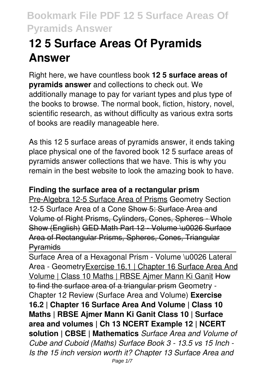# **12 5 Surface Areas Of Pyramids Answer**

Right here, we have countless book **12 5 surface areas of pyramids answer** and collections to check out. We additionally manage to pay for variant types and plus type of the books to browse. The normal book, fiction, history, novel, scientific research, as without difficulty as various extra sorts of books are readily manageable here.

As this 12 5 surface areas of pyramids answer, it ends taking place physical one of the favored book 12 5 surface areas of pyramids answer collections that we have. This is why you remain in the best website to look the amazing book to have.

### **Finding the surface area of a rectangular prism**

Pre-Algebra 12-5 Surface Area of Prisms Geometry Section 12-5 Surface Area of a Cone Show 5: Surface Area and Volume of Right Prisms, Cylinders, Cones, Spheres - Whole Show (English) GED Math Part 12 - Volume \u0026 Surface Area of Rectangular Prisms, Spheres, Cones, Triangular **P**vramids

Surface Area of a Hexagonal Prism - Volume \u0026 Lateral Area - Geometry Exercise 16.1 | Chapter 16 Surface Area And Volume | Class 10 Maths | RBSE Ajmer Mann Ki Ganit How to find the surface area of a triangular prism Geometry - Chapter 12 Review (Surface Area and Volume) **Exercise 16.2 | Chapter 16 Surface Area And Volume | Class 10 Maths | RBSE Ajmer Mann Ki Ganit Class 10 | Surface area and volumes | Ch 13 NCERT Example 12 | NCERT solution | CBSE | Mathematics** *Surface Area and Volume of Cube and Cuboid (Maths) Surface Book 3 - 13.5 vs 15 Inch - Is the 15 inch version worth it? Chapter 13 Surface Area and*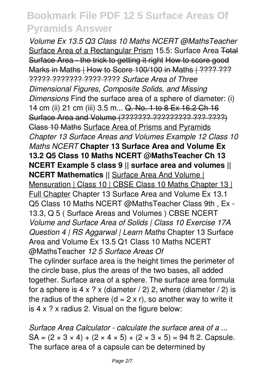*Volume Ex 13.5 Q3 Class 10 Maths NCERT @MathsTeacher* Surface Area of a Rectangular Prism 15.5: Surface Area Total Surface Area - the trick to getting it right How to score good Marks in Maths | How to Score 100/100 in Maths | ???? ??? ????? ??????? ???? ???? *Surface Area of Three Dimensional Figures, Composite Solids, and Missing Dimensions* Find the surface area of a sphere of diameter: (i) 14 cm (ii) 21 cm (iii) 3.5 m... Q. No. 1 to 8 Ex 16.2 Ch 16 Surface Area and Volume (??????? ????????? ??? ????) Class 10 Maths Surface Area of Prisms and Pyramids *Chapter 13 Surface Areas and Volumes Example 12 Class 10 Maths NCERT* **Chapter 13 Surface Area and Volume Ex 13.2 Q5 Class 10 Maths NCERT @MathsTeacher Ch 13 NCERT Example 5 class 9 || surface area and volumes || NCERT Mathematics ||** Surface Area And Volume | Mensuration | Class 10 | CBSE Class 10 Maths Chapter 13 | Full Chapter Chapter 13 Surface Area and Volume Ex 13.1 Q5 Class 10 Maths NCERT @MathsTeacher Class 9th , Ex - 13.3, Q 5 ( Surface Areas and Volumes ) CBSE NCERT *Volume and Surface Area of Solids | Class 10 Exercise 17A Question 4 | RS Aggarwal | Learn Maths* Chapter 13 Surface Area and Volume Ex 13.5 Q1 Class 10 Maths NCERT @MathsTeacher *12 5 Surface Areas Of* The cylinder surface area is the height times the perimeter of the circle base, plus the areas of the two bases, all added together. Surface area of a sphere. The surface area formula for a sphere is  $4 \times ? \times$  (diameter / 2) 2, where (diameter / 2) is the radius of the sphere  $(d = 2 \times r)$ , so another way to write it is 4 x ? x radius 2. Visual on the figure below:

*Surface Area Calculator - calculate the surface area of a ...*  $SA = (2 \times 3 \times 4) + (2 \times 4 \times 5) + (2 \times 3 \times 5) = 94$  ft 2. Capsule. The surface area of a capsule can be determined by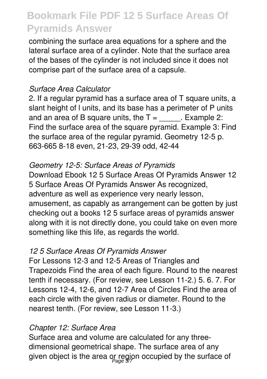combining the surface area equations for a sphere and the lateral surface area of a cylinder. Note that the surface area of the bases of the cylinder is not included since it does not comprise part of the surface area of a capsule.

### *Surface Area Calculator*

2. If a regular pyramid has a surface area of T square units, a slant height of l units, and its base has a perimeter of P units and an area of B square units, the  $T =$  . Example 2: Find the surface area of the square pyramid. Example 3: Find the surface area of the regular pyramid. Geometry 12-5 p. 663-665 8-18 even, 21-23, 29-39 odd, 42-44

### *Geometry 12-5: Surface Areas of Pyramids*

Download Ebook 12 5 Surface Areas Of Pyramids Answer 12 5 Surface Areas Of Pyramids Answer As recognized, adventure as well as experience very nearly lesson, amusement, as capably as arrangement can be gotten by just checking out a books 12 5 surface areas of pyramids answer along with it is not directly done, you could take on even more something like this life, as regards the world.

#### *12 5 Surface Areas Of Pyramids Answer*

For Lessons 12-3 and 12-5 Areas of Triangles and Trapezoids Find the area of each figure. Round to the nearest tenth if necessary. (For review, see Lesson 11-2.) 5. 6. 7. For Lessons 12-4, 12-6, and 12-7 Area of Circles Find the area of each circle with the given radius or diameter. Round to the nearest tenth. (For review, see Lesson 11-3.)

### *Chapter 12: Surface Area*

Surface area and volume are calculated for any threedimensional geometrical shape. The surface area of any given object is the area or regjon occupied by the surface of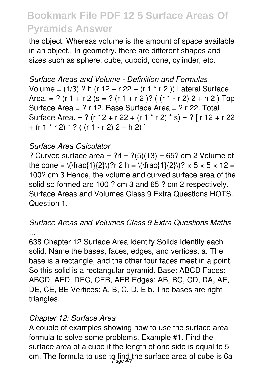the object. Whereas volume is the amount of space available in an object.. In geometry, there are different shapes and sizes such as sphere, cube, cuboid, cone, cylinder, etc.

*Surface Areas and Volume - Definition and Formulas* Volume =  $(1/3)$  ? h (r  $12 + r 22 + (r 1 * r 2)$ ) Lateral Surface Area. = ? (r 1 + r 2 )s = ? (r 1 + r 2 )? ( (r 1 - r 2) 2 + h 2 ) Top Surface Area = ? r 12. Base Surface Area = ? r 22. Total Surface Area. = ? (r 12 + r 22 + (r 1 \* r 2) \* s) = ? [ r 12 + r 22  $+$  (r 1  $*$  r 2)  $*$  ? ( (r 1 - r 2) 2 + h 2) ]

### *Surface Area Calculator*

? Curved surface area =  $?r = ?(5)(13) = 65$ ? cm 2 Volume of the cone =  $\(\frac{1}{2})$ ?r 2 h =  $(\frac{1}{2})$ ?r 2 = 100? cm 3 Hence, the volume and curved surface area of the solid so formed are 100 ? cm 3 and 65 ? cm 2 respectively. Surface Areas and Volumes Class 9 Extra Questions HOTS. Question 1.

### *Surface Areas and Volumes Class 9 Extra Questions Maths ...*

638 Chapter 12 Surface Area Identify Solids Identify each solid. Name the bases, faces, edges, and vertices. a. The base is a rectangle, and the other four faces meet in a point. So this solid is a rectangular pyramid. Base: ABCD Faces: ABCD, AED, DEC, CEB, AEB Edges: AB, BC, CD, DA, AE, DE, CE, BE Vertices: A, B, C, D, E b. The bases are right triangles.

#### *Chapter 12: Surface Area*

A couple of examples showing how to use the surface area formula to solve some problems. Example #1. Find the surface area of a cube if the length of one side is equal to 5 cm. The formula to use to find the surface area of cube is 6a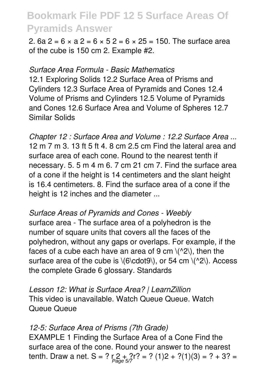2. 6a  $2 = 6 \times a$   $2 = 6 \times 5$   $2 = 6 \times 25 = 150$ . The surface area of the cube is 150 cm 2. Example #2.

#### *Surface Area Formula - Basic Mathematics*

12.1 Exploring Solids 12.2 Surface Area of Prisms and Cylinders 12.3 Surface Area of Pyramids and Cones 12.4 Volume of Prisms and Cylinders 12.5 Volume of Pyramids and Cones 12.6 Surface Area and Volume of Spheres 12.7 Similar Solids

*Chapter 12 : Surface Area and Volume : 12.2 Surface Area ...* 12 m 7 m 3. 13 ft 5 ft 4. 8 cm 2.5 cm Find the lateral area and surface area of each cone. Round to the nearest tenth if necessary. 5. 5 m 4 m 6. 7 cm 21 cm 7. Find the surface area of a cone if the height is 14 centimeters and the slant height is 16.4 centimeters. 8. Find the surface area of a cone if the height is 12 inches and the diameter ...

*Surface Areas of Pyramids and Cones - Weebly* surface area - The surface area of a polyhedron is the number of square units that covers all the faces of the polyhedron, without any gaps or overlaps. For example, if the faces of a cube each have an area of 9 cm  $\langle$ <sup> $\land$ 2 $\rangle$ </sup>), then the surface area of the cube is  $\langle 6 \rangle$ cdot9 $\langle 0 \rangle$ , or 54 cm  $\langle 1 \rangle$ . Access the complete Grade 6 glossary. Standards

*Lesson 12: What is Surface Area? | LearnZillion* This video is unavailable. Watch Queue Queue. Watch Queue Queue

#### *12-5: Surface Area of Prisms (7th Grade)*

EXAMPLE 1 Finding the Surface Area of a Cone Find the surface area of the cone. Round your answer to the nearest tenth. Draw a net. S = ? r 2 + ?r? = ? (1)2 + ?(1)(3) = ? + 3? =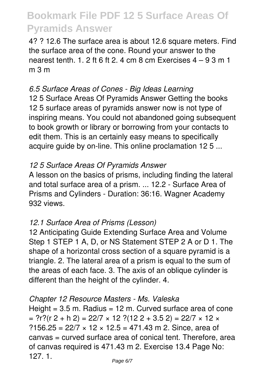4? ? 12.6 The surface area is about 12.6 square meters. Find the surface area of the cone. Round your answer to the nearest tenth. 1. 2 ft 6 ft 2. 4 cm 8 cm Exercises  $4 - 93$  m 1 m 3 m

### *6.5 Surface Areas of Cones - Big Ideas Learning*

12 5 Surface Areas Of Pyramids Answer Getting the books 12 5 surface areas of pyramids answer now is not type of inspiring means. You could not abandoned going subsequent to book growth or library or borrowing from your contacts to edit them. This is an certainly easy means to specifically acquire guide by on-line. This online proclamation 12 5 ...

#### *12 5 Surface Areas Of Pyramids Answer*

A lesson on the basics of prisms, including finding the lateral and total surface area of a prism. ... 12.2 - Surface Area of Prisms and Cylinders - Duration: 36:16. Wagner Academy 932 views.

#### *12.1 Surface Area of Prisms (Lesson)*

12 Anticipating Guide Extending Surface Area and Volume Step 1 STEP 1 A, D, or NS Statement STEP 2 A or D 1. The shape of a horizontal cross section of a square pyramid is a triangle. 2. The lateral area of a prism is equal to the sum of the areas of each face. 3. The axis of an oblique cylinder is different than the height of the cylinder. 4.

#### *Chapter 12 Resource Masters - Ms. Valeska*

Height  $= 3.5$  m. Radius  $= 12$  m. Curved surface area of cone  $=$  ?r?(r 2 + h 2) = 22/7  $\times$  12 ?(12 2 + 3.5 2) = 22/7  $\times$  12  $\times$ ?156.25 =  $22/7 \times 12 \times 12.5 = 471.43$  m 2. Since, area of canvas = curved surface area of conical tent. Therefore, area of canvas required is 471.43 m 2. Exercise 13.4 Page No: 127. 1.